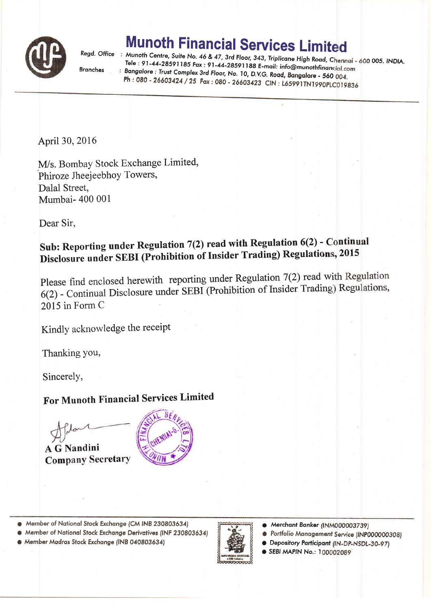

## **Munoth Financial Services Limited**

**Branches** 

Regd. Office : Munoth Centre, Suite No. 46 & 47, 3rd Floor, 343, Triplicane High Road, Chennai - 600 005. INDIA. Tele: 91-44-28591185 Fax: 91-44-28591188 E-mail: info@munothfinancial.com : Bangalore : Trust Complex 3rd Floor, No. 10, D.V.G. Road, Bangalore - 560 004. Ph: 080 - 26603424 / 25 Fax: 080 - 26603423 CIN: L65991TN1990PLC019836

April 30, 2016

M/s. Bombay Stock Exchange Limited, Phiroze Jheejeebhoy Towers, Dalal Street, Mumbai- 400 001

Dear Sir,

## Sub: Reporting under Regulation 7(2) read with Regulation 6(2) - Continual Disclosure under SEBI (Prohibition of Insider Trading) Regulations, 2015

Please find enclosed herewith reporting under Regulation 7(2) read with Regulation 6(2) - Continual Disclosure under SEBI (Prohibition of Insider Trading) Regulations, 2015 in Form C

Kindly acknowledge the receipt

Thanking you,

Sincerely,

## For Munoth Financial Services Limited

**A G Nandini Company Secretary** 

• Member of National Stock Exchange (CM INB 230803634)

● Member of National Stock Exchange Derivatives (INF 230803634) · Member Madras Stock Exchange (INB 040803634)



- Merchant Banker (INM000003739)
- Portfolio Management Service (INP000000308)
- Depository Participant (IN-DP-NSDL-30-97)

SEBI MAPIN No.: 100002089